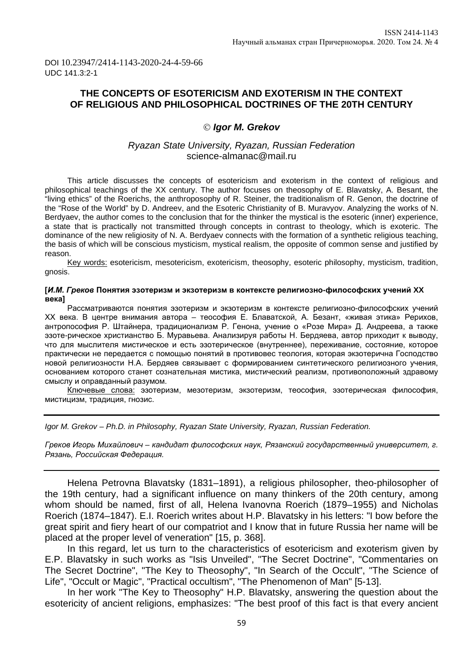DOI 10.23947/2414-1143-2020-24-4-59-66 UDC 141.3:2-1

# **THE CONCEPTS OF ESOTERICISM AND EXOTERISM IN THE CONTEXT OF RELIGIOUS AND PHILOSOPHICAL DOCTRINES OF THE 20TH CENTURY**

### *Igor M. Grekov*

## *Ryazan State University, Ryazan, Russian Federation* [science-almanac@mail.ru](mailto:science-almanac@mail.ru)

This article discusses the concepts of esotericism and exoterism in the context of religious and philosophical teachings of the XX century. The author focuses on theosophy of E. Blavatsky, A. Besant, the "living ethics" of the Roerichs, the anthroposophy of R. Steiner, the traditionalism of R. Genon, the doctrine of the "Rose of the World" by D. Andreev, and the Esoteric Christianity of B. Muravyov. Analyzing the works of N. Berdyaev, the author comes to the conclusion that for the thinker the mystical is the esoteric (inner) experience, a state that is practically not transmitted through concepts in contrast to theology, which is exoteric. The dominance of the new religiosity of N. A. Berdyaev connects with the formation of a synthetic religious teaching, the basis of which will be conscious mysticism, mystical realism, the opposite of common sense and justified by reason.

Key words: esotericism, mesotericism, exotericism, theosophy, esoteric philosophy, mysticism, tradition, gnosis.

#### **[***И.М. Греков* **Понятия эзотеризм и экзотеризм в контексте религиозно-философских учений XX века]**

Рассматриваются понятия эзотеризм и экзотеризм в контексте религиозно-философских учений XX века. В центре внимания автора – теософия Е. Блаватской, А. Безант, «живая этика» Рерихов, антропософия Р. Штайнера, традиционализм Р. Генона, учение о «Розе Мира» Д. Андреева, а также эзоте-рическое христианство Б. Муравьева. Анализируя работы Н. Бердяева, автор приходит к выводу, что для мыслителя мистическое и есть эзотерическое (внутреннее), переживание, состояние, которое практически не передается с помощью понятий в противовес теология, которая экзотерична Господство новой религиозности Н.А. Бердяев связывает с формированием синтетического религиозного учения, основанием которого станет сознательная мистика, мистический реализм, противоположный здравому смыслу и оправданный разумом.

Ключевые слова: эзотеризм, мезотеризм, экзотеризм, теософия, эзотерическая философия, мистицизм, традиция, гнозис.

*Igor M. Grekov – Ph.D. in Philosophy, Ryazan State University, Ryazan, Russian Federation.* 

*Греков Игорь Михайлович – кандидат философских наук, Рязанский государственный университет, г. Рязань, Российская Федерация.*

Helena Petrovna Blavatsky (1831–1891), a religious philosopher, theo-philosopher of the 19th century, had a significant influence on many thinkers of the 20th century, among whom should be named, first of all, Helena Ivanovna Roerich (1879–1955) and Nicholas Roerich (1874–1847). E.I. Roerich writes about H.P. Blavatsky in his letters: "I bow before the great spirit and fiery heart of our compatriot and I know that in future Russia her name will be placed at the proper level of veneration" [15, p. 368].

In this regard, let us turn to the characteristics of esotericism and exoterism given by E.P. Blavatsky in such works as "Isis Unveiled", "The Secret Doctrine", "Commentaries on The Secret Doctrine", "The Key to Theosophy", "In Search of the Occult", "The Science of Life", "Occult or Magic", "Practical occultism", "The Phenomenon of Man" [5-13].

In her work "The Key to Theosophy" H.P. Blavatsky, answering the question about the esotericity of ancient religions, emphasizes: "The best proof of this fact is that every ancient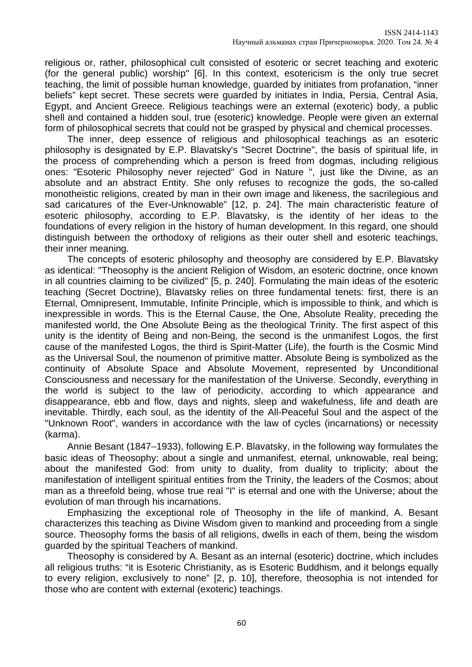religious or, rather, philosophical cult consisted of esoteric or secret teaching and exoteric (for the general public) worship" [6]. In this context, esotericism is the only true secret teaching, the limit of possible human knowledge, guarded by initiates from profanation, "inner beliefs" kept secret. These secrets were guarded by initiates in India, Persia, Central Asia, Egypt, and Ancient Greece. Religious teachings were an external (exoteric) body, a public shell and contained a hidden soul, true (esoteric) knowledge. People were given an external form of philosophical secrets that could not be grasped by physical and chemical processes.

The inner, deep essence of religious and philosophical teachings as an esoteric philosophy is designated by E.P. Blavatsky's "Secret Doctrine", the basis of spiritual life, in the process of comprehending which a person is freed from dogmas, including religious ones: "Esoteric Philosophy never rejected" God in Nature ", just like the Divine, as an absolute and an abstract Entity. She only refuses to recognize the gods, the so-called monotheistic religions, created by man in their own image and likeness, the sacrilegious and sad caricatures of the Ever-Unknowable" [12, p. 24]. The main characteristic feature of esoteric philosophy, according to E.P. Blavatsky, is the identity of her ideas to the foundations of every religion in the history of human development. In this regard, one should distinguish between the orthodoxy of religions as their outer shell and esoteric teachings, their inner meaning.

The concepts of esoteric philosophy and theosophy are considered by E.P. Blavatsky as identical: "Theosophy is the ancient Religion of Wisdom, an esoteric doctrine, once known in all countries claiming to be civilized" [5, p. 240]. Formulating the main ideas of the esoteric teaching (Secret Doctrine), Blavatsky relies on three fundamental tenets: first, there is an Eternal, Omnipresent, Immutable, Infinite Principle, which is impossible to think, and which is inexpressible in words. This is the Eternal Cause, the One, Absolute Reality, preceding the manifested world, the One Absolute Being as the theological Trinity. The first aspect of this unity is the identity of Being and non-Being, the second is the unmanifest Logos, the first cause of the manifested Logos, the third is Spirit-Matter (Life), the fourth is the Cosmic Mind as the Universal Soul, the noumenon of primitive matter. Absolute Being is symbolized as the continuity of Absolute Space and Absolute Movement, represented by Unconditional Consciousness and necessary for the manifestation of the Universe. Secondly, everything in the world is subject to the law of periodicity, according to which appearance and disappearance, ebb and flow, days and nights, sleep and wakefulness, life and death are inevitable. Thirdly, each soul, as the identity of the All-Peaceful Soul and the aspect of the "Unknown Root", wanders in accordance with the law of cycles (incarnations) or necessity (karma).

Annie Besant (1847–1933), following E.P. Blavatsky, in the following way formulates the basic ideas of Theosophy: about a single and unmanifest, eternal, unknowable, real being; about the manifested God: from unity to duality, from duality to triplicity; about the manifestation of intelligent spiritual entities from the Trinity, the leaders of the Cosmos; about man as a threefold being, whose true real "I" is eternal and one with the Universe; about the evolution of man through his incarnations.

Emphasizing the exceptional role of Theosophy in the life of mankind, A. Besant characterizes this teaching as Divine Wisdom given to mankind and proceeding from a single source. Theosophy forms the basis of all religions, dwells in each of them, being the wisdom guarded by the spiritual Teachers of mankind.

Theosophy is considered by A. Besant as an internal (esoteric) doctrine, which includes all religious truths: "it is Esoteric Christianity, as is Esoteric Buddhism, and it belongs equally to every religion, exclusively to none" [2, p. 10], therefore, theosophia is not intended for those who are content with external (exoteric) teachings.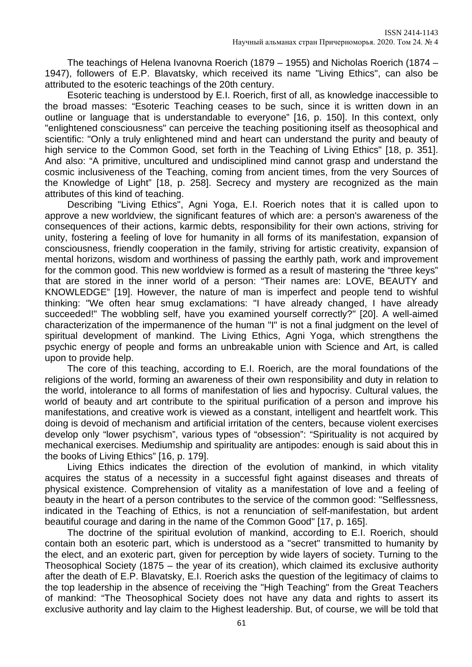The teachings of Helena Ivanovna Roerich (1879 – 1955) and Nicholas Roerich (1874 – 1947), followers of E.P. Blavatsky, which received its name "Living Ethics", can also be attributed to the esoteric teachings of the 20th century.

Esoteric teaching is understood by E.I. Roerich, first of all, as knowledge inaccessible to the broad masses: "Esoteric Teaching ceases to be such, since it is written down in an outline or language that is understandable to everyone" [16, p. 150]. In this context, only "enlightened consciousness" can perceive the teaching positioning itself as theosophical and scientific: "Only a truly enlightened mind and heart can understand the purity and beauty of high service to the Common Good, set forth in the Teaching of Living Ethics" [18, p. 351]. And also: "A primitive, uncultured and undisciplined mind cannot grasp and understand the cosmic inclusiveness of the Teaching, coming from ancient times, from the very Sources of the Knowledge of Light" [18, p. 258]. Secrecy and mystery are recognized as the main attributes of this kind of teaching.

Describing "Living Ethics", Agni Yoga, E.I. Roerich notes that it is called upon to approve a new worldview, the significant features of which are: a person's awareness of the consequences of their actions, karmic debts, responsibility for their own actions, striving for unity, fostering a feeling of love for humanity in all forms of its manifestation, expansion of consciousness, friendly cooperation in the family, striving for artistic creativity, expansion of mental horizons, wisdom and worthiness of passing the earthly path, work and improvement for the common good. This new worldview is formed as a result of mastering the "three keys" that are stored in the inner world of a person: "Their names are: LOVE, BEAUTY and KNOWLEDGE" [19]. However, the nature of man is imperfect and people tend to wishful thinking: "We often hear smug exclamations: "I have already changed, I have already succeeded!" The wobbling self, have you examined yourself correctly?" [20]. A well-aimed characterization of the impermanence of the human "I" is not a final judgment on the level of spiritual development of mankind. The Living Ethics, Agni Yoga, which strengthens the psychic energy of people and forms an unbreakable union with Science and Art, is called upon to provide help.

The core of this teaching, according to E.I. Roerich, are the moral foundations of the religions of the world, forming an awareness of their own responsibility and duty in relation to the world, intolerance to all forms of manifestation of lies and hypocrisy. Cultural values, the world of beauty and art contribute to the spiritual purification of a person and improve his manifestations, and creative work is viewed as a constant, intelligent and heartfelt work. This doing is devoid of mechanism and artificial irritation of the centers, because violent exercises develop only "lower psychism", various types of "obsession": "Spirituality is not acquired by mechanical exercises. Mediumship and spirituality are antipodes: enough is said about this in the books of Living Ethics" [16, p. 179].

Living Ethics indicates the direction of the evolution of mankind, in which vitality acquires the status of a necessity in a successful fight against diseases and threats of physical existence. Comprehension of vitality as a manifestation of love and a feeling of beauty in the heart of a person contributes to the service of the common good: "Selflessness, indicated in the Teaching of Ethics, is not a renunciation of self-manifestation, but ardent beautiful courage and daring in the name of the Common Good" [17, p. 165].

The doctrine of the spiritual evolution of mankind, according to E.I. Roerich, should contain both an esoteric part, which is understood as a "secret" transmitted to humanity by the elect, and an exoteric part, given for perception by wide layers of society. Turning to the Theosophical Society (1875 – the year of its creation), which claimed its exclusive authority after the death of E.P. Blavatsky, E.I. Roerich asks the question of the legitimacy of claims to the top leadership in the absence of receiving the "High Teaching" from the Great Teachers of mankind: "The Theosophical Society does not have any data and rights to assert its exclusive authority and lay claim to the Highest leadership. But, of course, we will be told that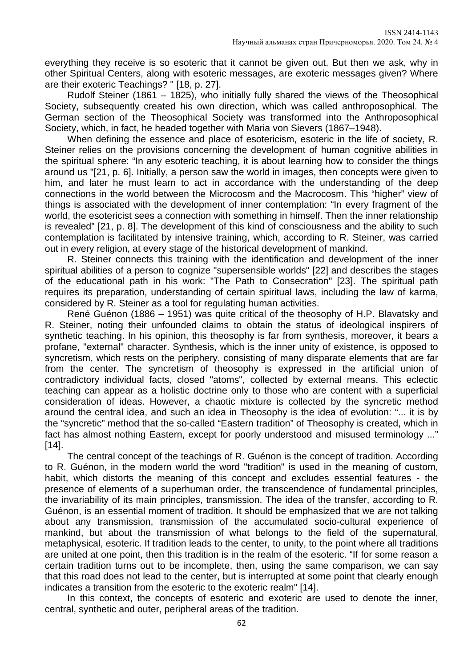everything they receive is so esoteric that it cannot be given out. But then we ask, why in other Spiritual Centers, along with esoteric messages, are exoteric messages given? Where are their exoteric Teachings? " [18, p. 27].

Rudolf Steiner (1861 – 1825), who initially fully shared the views of the Theosophical Society, subsequently created his own direction, which was called anthroposophical. The German section of the Theosophical Society was transformed into the Anthroposophical Society, which, in fact, he headed together with Maria von Sievers (1867–1948).

When defining the essence and place of esotericism, esoteric in the life of society, R. Steiner relies on the provisions concerning the development of human cognitive abilities in the spiritual sphere: "In any esoteric teaching, it is about learning how to consider the things around us "[21, p. 6]. Initially, a person saw the world in images, then concepts were given to him, and later he must learn to act in accordance with the understanding of the deep connections in the world between the Microcosm and the Macrocosm. This "higher" view of things is associated with the development of inner contemplation: "In every fragment of the world, the esotericist sees a connection with something in himself. Then the inner relationship is revealed" [21, p. 8]. The development of this kind of consciousness and the ability to such contemplation is facilitated by intensive training, which, according to R. Steiner, was carried out in every religion, at every stage of the historical development of mankind.

R. Steiner connects this training with the identification and development of the inner spiritual abilities of a person to cognize "supersensible worlds" [22] and describes the stages of the educational path in his work: "The Path to Consecration" [23]. The spiritual path requires its preparation, understanding of certain spiritual laws, including the law of karma, considered by R. Steiner as a tool for regulating human activities.

René Guénon (1886 – 1951) was quite critical of the theosophy of H.P. Blavatsky and R. Steiner, noting their unfounded claims to obtain the status of ideological inspirers of synthetic teaching. In his opinion, this theosophy is far from synthesis, moreover, it bears a profane, "external" character. Synthesis, which is the inner unity of existence, is opposed to syncretism, which rests on the periphery, consisting of many disparate elements that are far from the center. The syncretism of theosophy is expressed in the artificial union of contradictory individual facts, closed "atoms", collected by external means. This eclectic teaching can appear as a holistic doctrine only to those who are content with a superficial consideration of ideas. However, a chaotic mixture is collected by the syncretic method around the central idea, and such an idea in Theosophy is the idea of evolution: "... it is by the "syncretic" method that the so-called "Eastern tradition" of Theosophy is created, which in fact has almost nothing Eastern, except for poorly understood and misused terminology ..." [14].

The central concept of the teachings of R. Guénon is the concept of tradition. According to R. Guénon, in the modern world the word "tradition" is used in the meaning of custom, habit, which distorts the meaning of this concept and excludes essential features - the presence of elements of a superhuman order, the transcendence of fundamental principles, the invariability of its main principles, transmission. The idea of the transfer, according to R. Guénon, is an essential moment of tradition. It should be emphasized that we are not talking about any transmission, transmission of the accumulated socio-cultural experience of mankind, but about the transmission of what belongs to the field of the supernatural, metaphysical, esoteric. If tradition leads to the center, to unity, to the point where all traditions are united at one point, then this tradition is in the realm of the esoteric. "If for some reason a certain tradition turns out to be incomplete, then, using the same comparison, we can say that this road does not lead to the center, but is interrupted at some point that clearly enough indicates a transition from the esoteric to the exoteric realm" [14].

In this context, the concepts of esoteric and exoteric are used to denote the inner, central, synthetic and outer, peripheral areas of the tradition.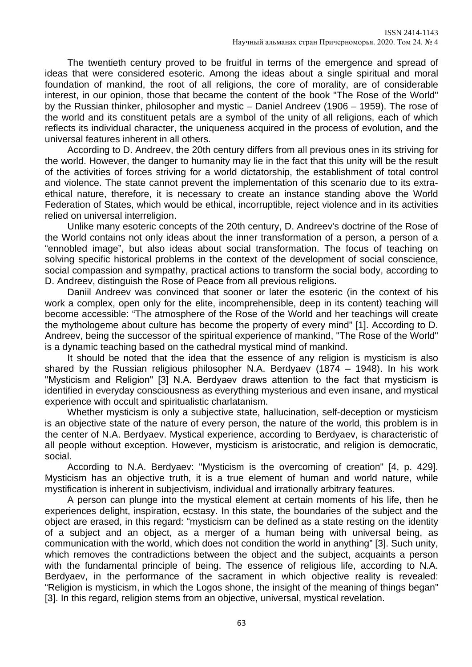The twentieth century proved to be fruitful in terms of the emergence and spread of ideas that were considered esoteric. Among the ideas about a single spiritual and moral foundation of mankind, the root of all religions, the core of morality, are of considerable interest, in our opinion, those that became the content of the book "The Rose of the World" by the Russian thinker, philosopher and mystic – Daniel Andreev (1906 – 1959). The rose of the world and its constituent petals are a symbol of the unity of all religions, each of which reflects its individual character, the uniqueness acquired in the process of evolution, and the universal features inherent in all others.

According to D. Andreev, the 20th century differs from all previous ones in its striving for the world. However, the danger to humanity may lie in the fact that this unity will be the result of the activities of forces striving for a world dictatorship, the establishment of total control and violence. The state cannot prevent the implementation of this scenario due to its extraethical nature, therefore, it is necessary to create an instance standing above the World Federation of States, which would be ethical, incorruptible, reject violence and in its activities relied on universal interreligion.

Unlike many esoteric concepts of the 20th century, D. Andreev's doctrine of the Rose of the World contains not only ideas about the inner transformation of a person, a person of a "ennobled image", but also ideas about social transformation. The focus of teaching on solving specific historical problems in the context of the development of social conscience, social compassion and sympathy, practical actions to transform the social body, according to D. Andreev, distinguish the Rose of Peace from all previous religions.

Daniil Andreev was convinced that sooner or later the esoteric (in the context of his work a complex, open only for the elite, incomprehensible, deep in its content) teaching will become accessible: "The atmosphere of the Rose of the World and her teachings will create the mythologeme about culture has become the property of every mind" [1]. According to D. Andreev, being the successor of the spiritual experience of mankind, "The Rose of the World" is a dynamic teaching based on the cathedral mystical mind of mankind.

It should be noted that the idea that the essence of any religion is mysticism is also shared by the Russian religious philosopher N.A. Berdyaev (1874 – 1948). In his work "Mysticism and Religion" [3] N.А. Berdyaev draws attention to the fact that mysticism is identified in everyday consciousness as everything mysterious and even insane, and mystical experience with occult and spiritualistic charlatanism.

Whether mysticism is only a subjective state, hallucination, self-deception or mysticism is an objective state of the nature of every person, the nature of the world, this problem is in the center of N.A. Berdyaev. Mystical experience, according to Berdyaev, is characteristic of all people without exception. However, mysticism is aristocratic, and religion is democratic, social.

According to N.A. Berdyaev: "Mysticism is the overcoming of creation" [4, p. 429]. Mysticism has an objective truth, it is a true element of human and world nature, while mystification is inherent in subjectivism, individual and irrationally arbitrary features.

A person can plunge into the mystical element at certain moments of his life, then he experiences delight, inspiration, ecstasy. In this state, the boundaries of the subject and the object are erased, in this regard: "mysticism can be defined as a state resting on the identity of a subject and an object, as a merger of a human being with universal being, as communication with the world, which does not condition the world in anything" [3]. Such unity, which removes the contradictions between the object and the subject, acquaints a person with the fundamental principle of being. The essence of religious life, according to N.A. Berdyaev, in the performance of the sacrament in which objective reality is revealed: "Religion is mysticism, in which the Logos shone, the insight of the meaning of things began" [3]. In this regard, religion stems from an objective, universal, mystical revelation.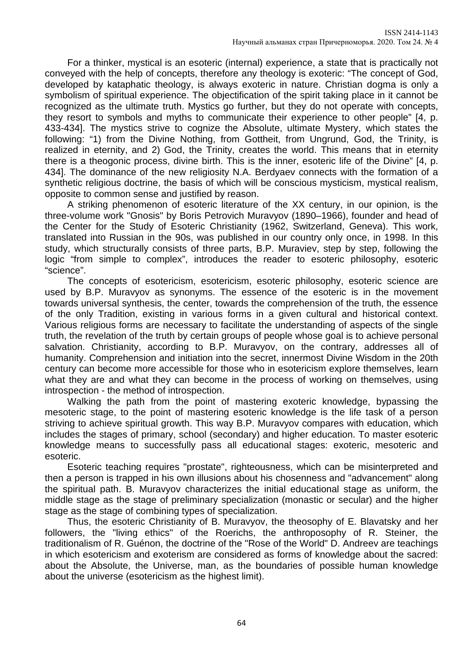For a thinker, mystical is an esoteric (internal) experience, a state that is practically not conveyed with the help of concepts, therefore any theology is exoteric: "The concept of God, developed by kataphatic theology, is always exoteric in nature. Christian dogma is only a symbolism of spiritual experience. The objectification of the spirit taking place in it cannot be recognized as the ultimate truth. Mystics go further, but they do not operate with concepts, they resort to symbols and myths to communicate their experience to other people" [4, p. 433-434]. The mystics strive to cognize the Absolute, ultimate Mystery, which states the following: "1) from the Divine Nothing, from Gottheit, from Ungrund, God, the Trinity, is realized in eternity, and 2) God, the Trinity, creates the world. This means that in eternity there is a theogonic process, divine birth. This is the inner, esoteric life of the Divine" [4, p. 434]. The dominance of the new religiosity N.A. Berdyaev connects with the formation of a synthetic religious doctrine, the basis of which will be conscious mysticism, mystical realism, opposite to common sense and justified by reason.

A striking phenomenon of esoteric literature of the XX century, in our opinion, is the three-volume work "Gnosis" by Boris Petrovich Muravyov (1890–1966), founder and head of the Center for the Study of Esoteric Christianity (1962, Switzerland, Geneva). This work, translated into Russian in the 90s, was published in our country only once, in 1998. In this study, which structurally consists of three parts, B.P. Muraviev, step by step, following the logic "from simple to complex", introduces the reader to esoteric philosophy, esoteric "science".

The concepts of esotericism, esotericism, esoteric philosophy, esoteric science are used by B.P. Muravyov as synonyms. The essence of the esoteric is in the movement towards universal synthesis, the center, towards the comprehension of the truth, the essence of the only Tradition, existing in various forms in a given cultural and historical context. Various religious forms are necessary to facilitate the understanding of aspects of the single truth, the revelation of the truth by certain groups of people whose goal is to achieve personal salvation. Christianity, according to B.P. Muravyov, on the contrary, addresses all of humanity. Comprehension and initiation into the secret, innermost Divine Wisdom in the 20th century can become more accessible for those who in esotericism explore themselves, learn what they are and what they can become in the process of working on themselves, using introspection - the method of introspection.

Walking the path from the point of mastering exoteric knowledge, bypassing the mesoteric stage, to the point of mastering esoteric knowledge is the life task of a person striving to achieve spiritual growth. This way B.P. Muravyov compares with education, which includes the stages of primary, school (secondary) and higher education. To master esoteric knowledge means to successfully pass all educational stages: exoteric, mesoteric and esoteric.

Esoteric teaching requires "prostate", righteousness, which can be misinterpreted and then a person is trapped in his own illusions about his chosenness and "advancement" along the spiritual path. B. Muravyov characterizes the initial educational stage as uniform, the middle stage as the stage of preliminary specialization (monastic or secular) and the higher stage as the stage of combining types of specialization.

Thus, the esoteric Christianity of B. Muravyov, the theosophy of E. Blavatsky and her followers, the "living ethics" of the Roerichs, the anthroposophy of R. Steiner, the traditionalism of R. Guénon, the doctrine of the "Rose of the World" D. Andreev are teachings in which esotericism and exoterism are considered as forms of knowledge about the sacred: about the Absolute, the Universe, man, as the boundaries of possible human knowledge about the universe (esotericism as the highest limit).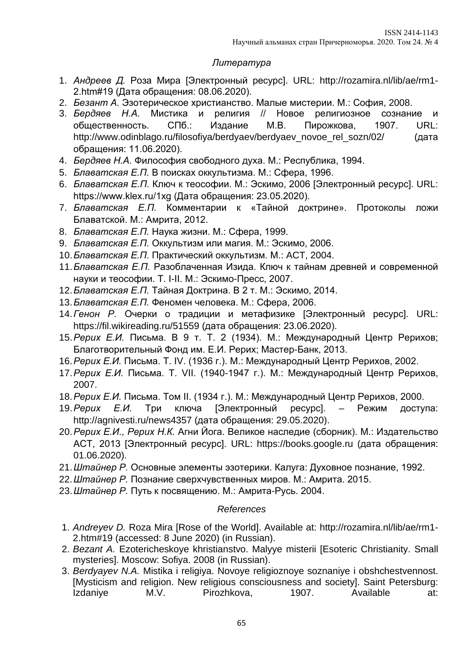# *Литература*

- 1. *Андреев Д.* Роза Мира [Электронный ресурс]. URL: http://rozamira.nl/lib/ae/rm1- 2.htm#19 (Дата обращения: 08.06.2020).
- 2. *Безант А.* Эзотерическое христианство. Малые мистерии. М.: София, 2008.
- 3. *Бердяев Н.А.* Мистика и религия // Новое религиозное сознание и общественность. СПб.: Издание М.В. Пирожкова, 1907. URL: http://www.odinblago.ru/filosofiya/berdyaev/berdyaev\_novoe\_rel\_sozn/02/ (дата обращения: 11.06.2020).
- 4. *Бердяев Н.А.* Философия свободного духа. М.: Республика, 1994.
- 5. *Блаватская Е.П.* В поисках оккультизма. М.: Сфера, 1996.
- 6. *Блаватская Е.П.* Ключ к теософии. М.: Эскимо, 2006 [Электронный ресурс]. URL: https://www.klex.ru/1xg (Дата обращения: 23.05.2020).
- 7. *Блаватская Е.П.* Комментарии к «Тайной доктрине». Протоколы ложи Блаватской. М.: Амрита, 2012.
- 8. *Блаватская Е.П.* Наука жизни. М.: Сфера, 1999.
- 9. *Блаватская Е.П.* Оккультизм или магия. М.: Эскимо, 2006.
- 10.*Блаватская Е.П.* Практический оккультизм. М.: ACT, 2004.
- 11.*Блаватская Е.П.* Разоблаченная Изида. Ключ к тайнам древней и современной науки и теософии. Т. I-II. М.: Эскимо-Пресс, 2007.
- 12.*Блаватская Е.П.* Тайная Доктрина. В 2 т. М.: Эскимо, 2014.
- 13.*Блаватская Е.П.* Феномен человека. М.: Сфера, 2006.
- 14.*Генон Р.* Очерки о традиции и метафизике [Электронный ресурс]. URL: https://fil.wikireading.ru/51559 (дата обращения: 23.06.2020).
- 15.*Рерих Е.И.* Письма. В 9 т. Т. 2 (1934). М.: Международный Центр Рерихов; Благотворительный Фонд им. Е.И. Рерих; Мастер-Банк, 2013.
- 16.*Рерих Е.И.* Письма. Т. IV. (1936 г.). М.: Международный Центр Рерихов, 2002.
- 17.*Рерих Е.И.* Письма. Т. VII. (1940-1947 г.). М.: Международный Центр Рерихов, 2007.
- 18.*Рерих Е.И.* Письма. Том II. (1934 г.). М.: Международный Центр Рерихов, 2000.
- 19.*Рерих Е.И.* Три ключа [Электронный ресурс]. Режим доступа: http://agnivesti.ru/news4357 (дата обращения: 29.05.2020).
- 20.*Рерих Е.И., Рерих Н.К.* Агни Йога. Великое наследие (сборник). М.: Издательство АСТ, 2013 [Электронный ресурс]. URL: https://books.google.ru (дата обращения: 01.06.2020).
- 21.*Штайнер Р.* Основные элементы эзотерики. Калуга: Духовное познание, 1992.
- 22.*Штайнер Р.* Познание сверхчувственных миров. М.: Амрита. 2015.
- 23.*Штайнер Р.* Путь к посвящению. М.: Амрита-Русь. 2004.

# *References*

- 1. *Andreyev D.* Roza Mira [Rose of the World]. Available at: http://rozamira.nl/lib/ae/rm1- 2.htm#19 (accessed: 8 June 2020) (in Russian).
- 2. *Bezant A.* Ezotericheskoye khristianstvo. Malyye misterii [Esoteric Christianity. Small mysteries]. Moscow: Sofiya. 2008 (in Russian).
- 3. *Berdyayev N.A.* Mistika i religiya. Novoye religioznoye soznaniye i obshchestvennost. [Mysticism and religion. New religious consciousness and society]. Saint Petersburg: Izdaniye M.V. Pirozhkova, 1907. Available at: